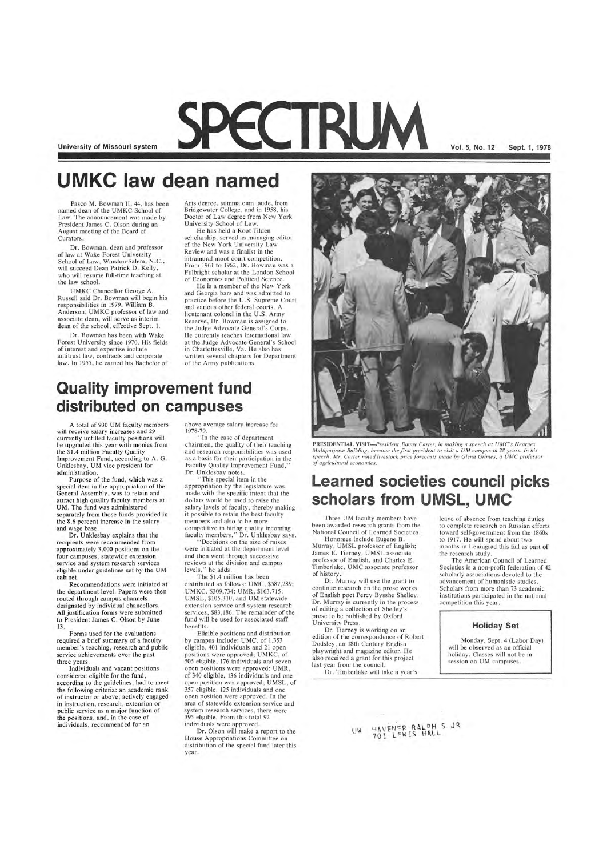**University of Missouri system** 

# **UMKC law dean named**

Pasco M. Bowman II, 44, has been named dean of the UMKC School of Law. The announcement was made by President James C. Olson during an August meeting of the Board of Curators.

Dr. Bowman has been with Wake Forest University since 1970. His fields of interest and expertise include antitrust law, contracts and corporate law. In 1955, he earned his Bachelor of

Dr. Bowman, dean and professor of law at Wake Forest University School of Law, Winston-Salem, N.C., will succeed Dean Patrick D. Kelly, who will resume full-time teaching at the law school.

UMKC Chancellor George A. Russell said Dr. Bowman will begin his responsibilities in 1979. William B. Anderson , UMKC professor of law and associate dean, will serve as interim dean of the school, effective Sept. 1.

He is a member of the New York and Georgia bars and was admitted to practice before the U.S. Supreme Court and various other federal courts. A lieutenant colonel in the U.S. Army Reserve, Dr. Bowman is assigned to the Judge Advocate General's Corps. He currently teaches international law at the Judge Advocate General's School in Charlottesville, Va. He also has written several chapters for Department of the Army publications.

Arts degree , summa cum laude , from Bridgewater College , and in 1958 , his Doctor of Law degree from New York University School of Law.

PECTRUM

A total of 930 UM faculty members will receive salary increases and 29 currently unfilled faculty positions will be upgraded this year with monies from the \$1.4 million Faculty Quality Improvement Fund, according to A. G. Unklesbay, UM vice president for administration .

He has held a Root-Tilden scholarship, served as managing editor of the New York University Law Review and was a finalist in the intramural moot court competition. From 1961 to 1962, Dr. Bowman was a Fulbright scholar at the London School of Economics and Political Science .

Purpose of the fund, which was a special item in the appropriation of the General Assembly, was to retain and attract high quality faculty members at UM. The fund was administered separately from those funds provided in the 8.6 percent increase in the salary and wage base.

Dr. Unklesbay explains that the recipients were recommended from approxima tely 3,000 positions on the four campuses, statewide extension service and system research services eligible under guidelines set by the UM cabinet.

Recommendations were initiated at the department level. Papers were then routed through campus channels designated by individual chancellors. All justification forms were submitted to President James C. Olson by June 13.

"Tn the case of department chairmen, the quality of their teaching and research responsibilities was used as a basis for their participation in the Faculty Quality Improvement Fund, Dr. Unklesbay notes.

### **Quality improvement fund distributed on campuses**

Decisions on the size of raises were initiated at the department level and then went through successive reviews at the division and campus levels," he adds.



PRESIDENTIAL VISIT-President Jimmy Carter, in making a speech at UMC's Hearnes *Multipurpose Building, became the first president to visit a UM campus in 28 years. In his speech. Mr. Carter noted livestock price forecasts made by Glenn Grimes, a UMC professor of agricultural economics.* 

Three UM faculty members have been awarded research grants from the National Council of Learned Societies. Honorees include Eugene B.

Forms used for the evaluations required a brief summary of a faculty member's teaching, research and public service achievements over the past three years.

Individuals and vacant positions considered eligible for the fund, according to the guidelines, had to meet the following criteria: an academic rank of instructor or above; actively engaged in instruction, research, extension or public service as a major function of the positions, and, in the case of individuals, recommended for an

above-average salary increase for ]978-79.

" This special item in the appropriation by the legislature was made with the specific intent that the dollars would be used to raise the salary levels of faculty, thereby making it possible to retain the best faculty members and also to be more competitive in hiring quality incoming faculty members," Dr. Unklesbay says.

The \$1.4 million has been distributed as follows: UMC, \$587,289; UMKC, \$309,734; UMR, \$163,715; UMSL, \$105,310, and UM statewide extension service and system research services, \$83,186. The remainder of the fund will be used for associated staff benefits. Eligible positions and distribution by campus include: UMC, of 1,353 eligible, 401 individuals and 21 open positions were approved; UMKC, of 505 eligible, 176 individuals and seven open positions were approved; UMR, of 340 eligible, 136 individuals and one open position was approved; UMSL, of 357 eligible, 125 individuals and one open position were approved. In the area of statewide ex tension service and system research services, there were 395 eligible. From this total 92 individuals were approved. Dr. Olson will make a report to the House Appropriations Committee on distribution of the special fund later this year.

**Vol. 5, No. 12 Sept. 1, 1978** 

## **Learned societies council picks scholars from UMSL, UMC**

Murray, UMSL professor of English; James E. Tierney, UMSL associate professor of English, and Charles E. Timberlake, UMC associate professor of history.

Dr. Murray will use the grant to continue research on the prose works of English poet Percy Bysshe Shelley. Dr. Murray is currently in the process of editing a collection of Shelley's prose to be published by Oxford University Press.

Dr. Tierney is working on an

edition of the correspondence of Robert Dodsley, an 18th Century English playwright and magazine editor. He also received a grant for this project last year from the council.

Dr. Timberlake will take a year's

leave of absence from teaching duties to complete research on Russian efforts toward self-government from the 1860s to 1917. He will spend about two months in Leningrad this fall as part of the research study.

The American Council of Learned Societies is a non-profit federation of 42 scholarly associations devoted to the advancement of humanistic studies. Scholars from more than 73 academic institutions participated in the national competition this year.

**Holiday Set** 

HAVENER RALPH S JR<br>701 LEWIS HALL

Monday, Sept. 4 (Labor Day) will be observed as an official holiday. Classes will not be in session on UM campuses.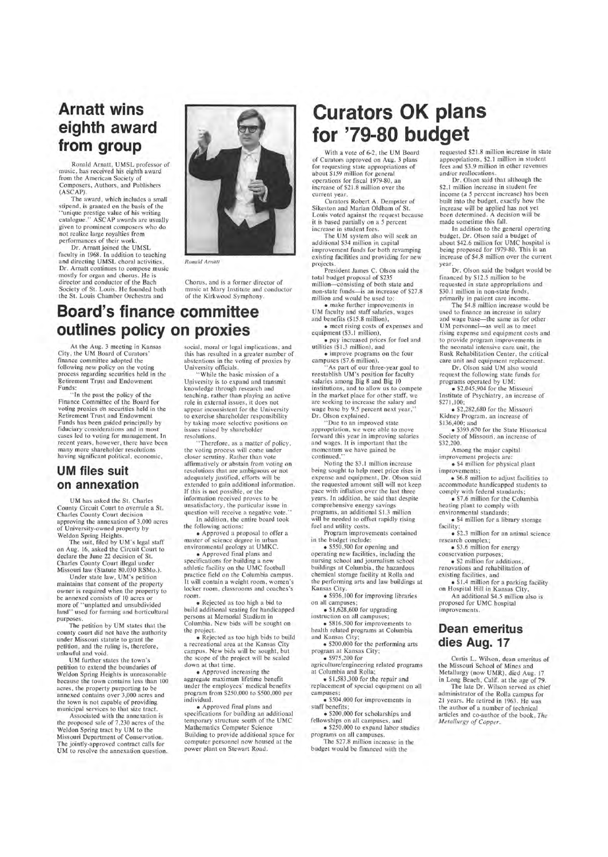## **Arnatt wins eighth award from group**

Ronald Arnatt, UMSL professor of music , has received his eighth award from the American Society of Composers, Authors, and Publishers (ASCAP).

The award, which includes a small stipend, is granted on the basis of the "unique prestige value of his writing catalogue. " ASCAP awards are usually given to prominent composers who do not realize large royalties from performances of their work.

> Chorus, and is a former director of music at Mary Institute and conductor of the Kirkwood Symphony.

"In the past the policy of the Finance Committee of the Board for voting proxies on securities held in the Retirement Trust and Endowment Funds has been guided principally by fiduciary considerations and in most cases led to voting for management. In recent years, however, there have been many more shareholder resolutions having significant political, economic,

Dr. Arnatt joined the UMSL faculty in 1968. In addition to teaching and directing UMSL choral activities, Dr. Arnatt continues to compose music mostly for organ and chorus. He is director and conductor of the Bach Society of St. Louis. He founded both the St. Louis Chamber Orchestra and



*Ronald Arnatt* 

### **Board's finance committee outlines policy on proxies**

At the Aug. 3 meeting in Kansas City, the UM Board of Curators' finance committee adopted the following new policy on the voting process regarding securities held in the Retirement Trust and Endowment Funds:

social, moral or legal implications, and this has resulted in a greater number of abstentions in the voting of proxies by University officials.

### **UM files suit on annexation**

UM has asked the St. Charles County Circuit Court to overrule a St. Charles County Court decision approving the annexation of 3,000 acres of University-owned property by Weldon Spring Heights.

While the basic mission of a University is to expand and transmit knowledge through research and teaching, rather than playing an active role in external issues, it does not appear inconsistent for the University to exercise shareholder responsibility by taking more selective positions on issues raised by shareholder resolutions.

" Therefore, as a matter of policy , the voting process will come under closer scrutiny. Rather than vote affirmatively or abstain from voting on resolutions that are ambiguous or not adequately justified, efforts will be extended to gain additional information. If this is not possible , or the information received proves to be unsatisfactory , the particular issue in question will receive a negative vote.'

The suit, filed by UM's legal staff on Aug. 16, asked the Circuit Court to declare the June 22 decision of St. Charles County Court illegal under Missouri law (Statute 80.030 RSMo.).

Under state law, UM's petition maintains that consent of the property owner is required when the property to be annexed consists of 10 acres or more of "unplatted and unsubdivided land" used for farming and horticultural purposes.

The petition by UM states that the

county court did not have the authority under Missouri statute to grant the petition, and the ruling is, therefore, unlawful and void.

UM further states the town 's petition to extend the boundaries of Weldon Spring Heights is unreasonable because the town contains less than 100 acres, the property purporting to be annexed contains over 3,000 acres and the town is not capable of providing municipal services to that size tract.

Associated with the annexation is the proposed sale of 7,230 acres of the Weldon Spring tract by UM to the Missouri Department of Conservation. The jointly-approved contract calls for UM to resolve the annexation question.

As part of our three-year goal to reestablish UM 's position for faculty salaries among Big 8 and Big 10 institutions, and to allow us to compete in the market place for other staff, we are seeking to increase the salary and wage base by 9.5 percent next year," Dr. Olson explained .

Noting the \$3.1 million increase being sought to help meet price rises in expense and equipment, Dr. Olson said the requested amount still will not keep pace with inflation over the last three years. In addition, he said that despite comprehensive energy savings programs, an additional \$1.3 million will be needed to offset rapidly rising fuel and utility costs.

health related programs at Columbia and Kansas City;

• \$1,583,300 for the repair and replacement of special equipment on all campuses;

In addition, the entire board took the following actions: • Approved a proposal to offer a

master of science degree in urban environmental geology at UMKC.

• Approved final plans and specifications for building a new athletic facility on the UMC football practice field on the Columbia campus. It will contain a weight room, women's locker room, classrooms and coaches's room.

• Rejected as too high a bid to build additional seating for handicapped persons at Memorial Stadium in Columbia. New bids will be sought on

the project.

• Rejected as too high bids to build a recreational area at the Kansas City campus. New bids will be sought, but the scope of the project will be scaled down at that time.

• Approved increasing the aggregate maximum lifetime benefit under the employees' medical benefits program from \$250,000 to \$500,000 per individual.

• \$4 million for physical plant improvements;

• Approved final plans and specifications for building an additional temporary structure south of the UMC Mathematics Computer Science Building to provide additional space for computer personnel now housed at the power plant on Stewart Road.

• \$3.6 million for energy conservation purposes;

renovations and rehabilitation of existing facilities, and

# **Curators OK plans for '79-80 budget**

• \$1.4 million for a parking facility on Hospital Hill in Kansas City.

With a vote of 6-2 , the UM Board of Curators approved on Aug. 3 plans for requesting state appropriations of about \$159 million for general operations for fiscal 1979-80, an increase of \$21.8 million over the current year.

Curators Robert A. Dempster of Sikeston and Marian Oldham of St. Louis voted against the request because it is based partially on a 5 percent increase in student fees.

The UM system also will seek an additional \$34 million in capital improvement funds for both revamping existing facilities and providing for new projects.

President James C. Olson said the total budget proposal of \$235 million-consisting of both state and non-state funds-is an increase of \$27 .8 million and would be used to:

• make further improvements in UM faculty and staff salaries, wages and benefits (\$15.8 million),

• meet rising costs of expenses and equipment (\$3.1 million),

• pay increased prices for fuel and utilities (\$1 .3 million), and

• improve programs on the four campuses (\$7.6 million).

"Due to an improved state appropriation, we were able to move forward this year in improving salaries and wages. It is important that the momentum we have gained be continued. "

Program improvements contained in the budget include:

• \$550,500 for opening and operating new facilities, including the nursing school and journalism school buildings at Columbia, the hazardous chemical storage facility at Rolla and the performing arts and law buildings at Kansas City.

• \$936, 100 for improving libraries on all campuses;

• \$1,628,600 for upgrading instruction on all campuses;

• \$816,500 for improvements to

• \$200,000 for the performing arts program at Kansas City;

• \$975,200 for

agriculture/engineering related programs at Columbia and Rolla;

• \$504,000 for improvements in staff benefits;

• \$200,000 for scholarships and fellowships on all campuses, and

• \$250,000 to expand labor studies programs on all campuses.

The \$27.8 million increase in the budget would be financed with the

requested \$21.8 million increase in state appropriations, \$2.1 million in student fees and \$3.9 million in other revenues and/or reallocations.

Dr. Olson said that although the \$2.1 million increase in student fee income (a 5 percent increase) has been built into the budget, exactly how the increase will be applied has not yet been determined. A decision will be made sometime this fall.

In addition to the general operating budget, Dr. Olson said a budget of about \$42.6 million for UMC hospital is being proposed for 1979-80. This is an increase of \$4.8 million over the current year.

Dr. Olson said the budget would be financed by \$12.5 million to be reque sted in state appropriations and \$30.1 million in non-state funds, primarily in patient care income.

The \$4.8 million increase would be used to finance an increase in salary and wage base-the same as for other UM personnel-as well as to meet rising expense and equipment costs and to provide program improvements in the neonatal intensive care unit, the Rusk Rehabilitation Center, the critical care unit and equipment replacement.

Dr. Olson said UM also would request the following state funds for programs operated by UM:

• \$2,045,904 for the Missouri Institute of Psychiatry, an increase of \$271,100;

• \$2,282,680 for the Missouri Kidney Program, an increase of \$136,400; and

• \$393,670 for the State Historical Society of Missouri, an increase of \$32,200.

Among the major capital improvement projects are:

• \$6.8 million to adjust facilities to accommodate handicapped students to comply with federal standards;

• \$7 .6 million for the Columbia heating plant to comply with environmental standards;

• \$4 million for a library storage facility ;

• \$2 .3 million for an animal science research complex ;

• \$2 million for additions,

An additional \$4.5 million also is proposed for UMC hospital improvements.

### **Dean emeritus dies Aug. 17**

Curtis L. Wilson, dean emeritus of the Missouri School of Mines and Metallurgy (now UMR), died Aug. 17 in Long Beach, Calif. at the age of 79.

The late Dr. Wilson served as chief administrator of the Rolla campus for 21 years. He retired in 1963. He was the author of a number of technical articles and co-author of the book, *The Metallurgy of Copper.*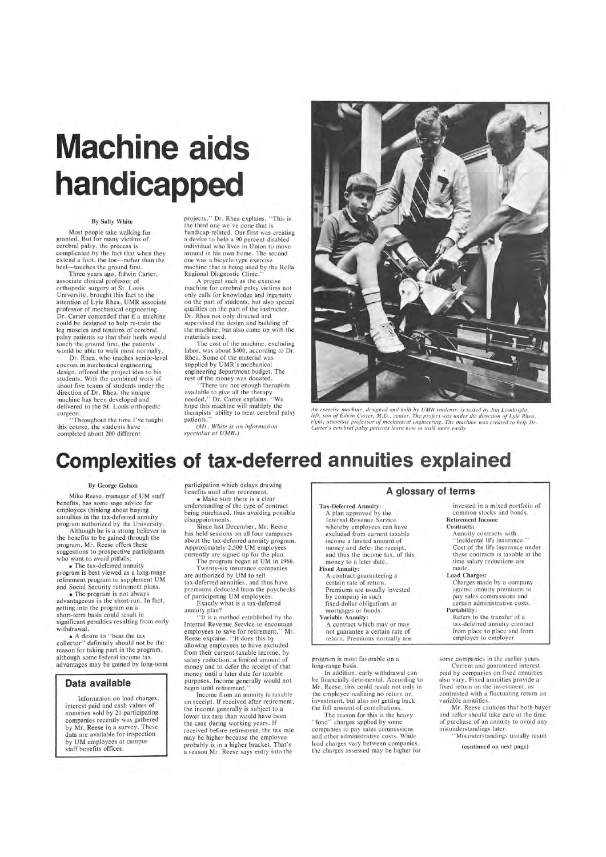# **Machine aids handicapped**

Most people take walking for granted. But for many victims of cerebral palsy, the process is complicated by the fact that when they extend a foot, the toe-rather than the heel-touches the ground first.

#### By Sally White

Three years ago, Edwin Carter, associate clinical professor of orthopedic surgery at St. Louis University, brought this fact to the attention of Lyle Rhea, UMR associate professor of mechanical engineering. Dr. Carter contended that if a machine could be designed to help re-train the leg muscles and tendons of cerebral palsy patients so that their heels would touch the ground first, the patients would be able to walk more normally.

Dr. Rhea, who teaches senior-level courses in mechanical engineering design, offered the project idea to his students. With the combined work of about five teams of students under the direction of Dr. Rhea, the unique machine has been developed and delivered to the St. Louis orthopedic surgeon.

projects," Dr. Rhea explains. " This is the third one we 've done that is handicap-related. Our first was creating a device to help a 90 percent disabled individual who lives in Union to move around in his own home. The second one was a bicycle-type exercise machine that is being used by the Rolla Regional Diagnostic Clinic.

The cost of the machine , excluding labor, was about \$400, according to Dr. Rhea. Some of the material was supplied by UMR's mechanical engineering department budget. The rest of the money was donated.

"There are not enough therapists available to give all the therapy needed ," Dr. Carter explains. " We hope this machine will multiply the therapists' ability to treat cerebral palsy patients.

"Throughout the time I've taught this course, the students have completed about 200 different

*(Ms. White is an information specialist at UMR.)* 



An exercise machine, designed and built by UMR students, is tested by Jim Lambright, *left, son of Edwin Carter, M.D., center. The project was under the direction of Lyle Rhea, right , associate professor of mechanical engineerin g . The machine was created to help Dr. Carter's cerebral palsy patients learn how to walk more easily.* 

• The program is not always advantageous in the short-run. In fact, getting into the program on a short-term basis could result in significant penalties resulting from early withdrawal

A project such as the exercise machine for cerebral palsy victims not only calls for knowledge and ingenuity on the part of students, but also special qualities on the part of the instructor. Dr. Rhea not only directed and supervised the design and building of the machine, but also came up with the materials used.

are authorized by UM to sell tax-deferred annuities, and thus have premiums deducted from the paychecks of participating UM employees.

# **Complexities of tax-deferred annuities explained**

#### By George Golson

Mike Reese, manager of UM staff benefits, has some sage advice for employees thinking about buying annuities in the tax-deferred annuity program authorized by the University.

> In addition, early withdrawal can be financially detrimental. According to Mr. Reese, this could result not only in the employee realizing no return on investment, but also not getting back the full amount of contributions.

Although he is a strong believer in the benefits to be gained through the program, Mr. Reese offers these suggestions to prospective participants who want to avoid pitfalls:

• The tax-deferred annuity program is best viewed as a long-range retirement program to supplement UM and Social Security retirement plans.

• A desire to "beat the tax collector" definitely should not be the reason for taking part in the program, although some federal income tax advantages may be gained by long-term

#### **Data available**

Mr. Reese cautions that both buyer and seller should take care at the time of purchase of an annuity to avoid any misunderstandings later.

Information on load charges, interest paid and cash values of annuities sold by 21 participating companies recently was gathered by Mr. Reese in a survey. These data are available for inspection by UM employees at campus staff benefits offices.

participation which delays drawing benefits until after retirement.

• Make sure there is a clear understanding of the type of contract being purchased, thus avoiding possible disappointments.

Since last December, Mr. Reese has held sessions on all four campuses about the tax-deferred annuity program. Approximately 2,500 UM employees currently are signed up for the plan.

The program began at UM in 1966. Twenty-six insurance companies

Exactly what is a tax-deferred annuity plan?

"It is a method established by the Internal Revenue Service to encourage employees to save for retirement," Mr. Reese explains. " It does this by allowing employees to have excluded from their current taxable income, by salary reduction, a limited amount of money and to defer the receipt of that money until a later date for taxable purposes. Income generally would not begin until retirement. " Income from an annuity is taxable on receipt. If received after retirement, the income generally is subject to a lower tax rate than would have been the case during working years. If received before retirement, the tax rate may be higher because the employee probably is in a higher bracket. That's a reason Mr. Reese says entry into the

#### **A glossary of terms**

#### Tax-Deferred Annuity:

A plan approved by the Internal Revenue Service whereby employees can have excluded from current taxable income a limited amount of money and defer the receipt, and thus the income tax, of this money to a later date.

#### Fixed Annuity:

A contract guaranteeing a certain rate of return. Premiums are usually invested

by company in such fixed-dollar obligations as

#### mortgages or bonds.

Variable Annuity: A contract which mayor may

not guarantee a certain rate of return. Premiums normally are

program is most favorable on a long-range basis.

The reason for this is the heavy "load" charges applied by some companies to pay sales commissions and other administrative costs. While load charges vary between companies, the charges assessed may be higher for invested in a mixed portfolio of

common stocks and bonds. Retirement Income Contracts:

Annuity contracts with " incidental life insurance." Cost of the life insurance under these contracts is taxable at the time salary reductions are made .

#### Load Charges:

Charges made by a company against annuity premiums to pay sales commissions and certain administrative costs. Portability:

Refers to the transfer of a tax-deferred annuity contract from place to place and from employer to employer.

some companies in the earlier years.

Current and guaranteed interest paid by companies on fixed annuities also vary. Fixed annuities provide a fixed return on the investment, as contrasted with a fluctuating return on variable annuities.

. 'Misunderstandings usually result

(continued on next page)